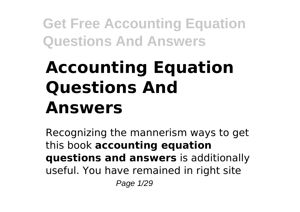# **Accounting Equation Questions And Answers**

Recognizing the mannerism ways to get this book **accounting equation questions and answers** is additionally useful. You have remained in right site Page 1/29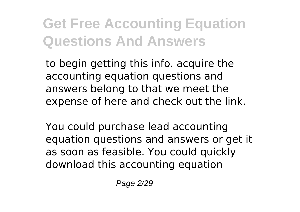to begin getting this info. acquire the accounting equation questions and answers belong to that we meet the expense of here and check out the link.

You could purchase lead accounting equation questions and answers or get it as soon as feasible. You could quickly download this accounting equation

Page 2/29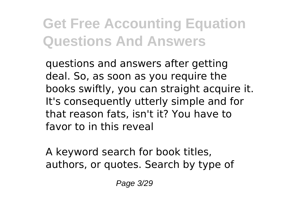questions and answers after getting deal. So, as soon as you require the books swiftly, you can straight acquire it. It's consequently utterly simple and for that reason fats, isn't it? You have to favor to in this reveal

A keyword search for book titles, authors, or quotes. Search by type of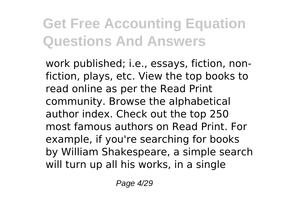work published; i.e., essays, fiction, nonfiction, plays, etc. View the top books to read online as per the Read Print community. Browse the alphabetical author index. Check out the top 250 most famous authors on Read Print. For example, if you're searching for books by William Shakespeare, a simple search will turn up all his works, in a single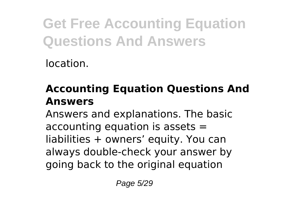location.

### **Accounting Equation Questions And Answers**

Answers and explanations. The basic accounting equation is assets = liabilities + owners' equity. You can always double-check your answer by going back to the original equation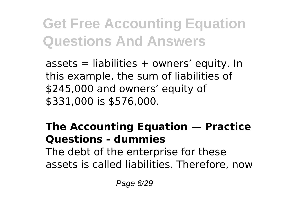$assets =$  liabilities  $+$  owners' equity. In this example, the sum of liabilities of \$245,000 and owners' equity of \$331,000 is \$576,000.

### **The Accounting Equation — Practice Questions - dummies**

The debt of the enterprise for these assets is called liabilities. Therefore, now

Page 6/29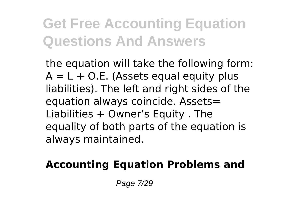the equation will take the following form:  $A = L + O.E.$  (Assets equal equity plus liabilities). The left and right sides of the equation always coincide. Assets= Liabilities + Owner's Equity . The equality of both parts of the equation is always maintained.

#### **Accounting Equation Problems and**

Page 7/29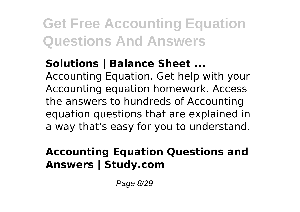### **Solutions | Balance Sheet ...**

Accounting Equation. Get help with your Accounting equation homework. Access the answers to hundreds of Accounting equation questions that are explained in a way that's easy for you to understand.

### **Accounting Equation Questions and Answers | Study.com**

Page 8/29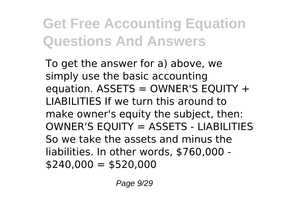To get the answer for a) above, we simply use the basic accounting equation. ASSETS = OWNER'S EQUITY + LIABILITIES If we turn this around to make owner's equity the subject, then: OWNER'S EQUITY = ASSETS - LIABILITIES So we take the assets and minus the liabilities. In other words, \$760,000 -  $$240.000 = $520.000$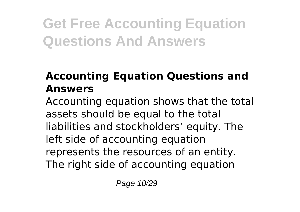### **Accounting Equation Questions and Answers**

Accounting equation shows that the total assets should be equal to the total liabilities and stockholders' equity. The left side of accounting equation represents the resources of an entity. The right side of accounting equation

Page 10/29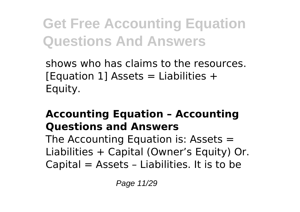shows who has claims to the resources. [Equation 1] Assets = Liabilities  $+$ Equity.

### **Accounting Equation – Accounting Questions and Answers**

The Accounting Equation is: Assets  $=$ Liabilities + Capital (Owner's Equity) Or. Capital = Assets – Liabilities. It is to be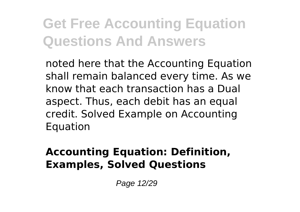noted here that the Accounting Equation shall remain balanced every time. As we know that each transaction has a Dual aspect. Thus, each debit has an equal credit. Solved Example on Accounting Equation

#### **Accounting Equation: Definition, Examples, Solved Questions**

Page 12/29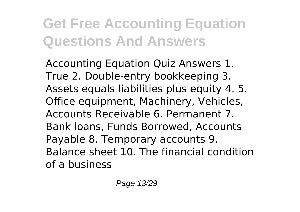Accounting Equation Quiz Answers 1. True 2. Double-entry bookkeeping 3. Assets equals liabilities plus equity 4. 5. Office equipment, Machinery, Vehicles, Accounts Receivable 6. Permanent 7. Bank loans, Funds Borrowed, Accounts Payable 8. Temporary accounts 9. Balance sheet 10. The financial condition of a business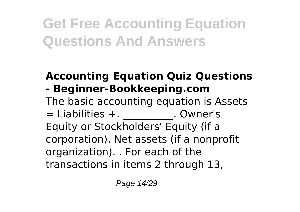#### **Accounting Equation Quiz Questions - Beginner-Bookkeeping.com**

The basic accounting equation is Assets  $=$  Liabilities  $+$ .  $\qquad \qquad$  . Owner's Equity or Stockholders' Equity (if a corporation). Net assets (if a nonprofit organization). . For each of the transactions in items 2 through 13,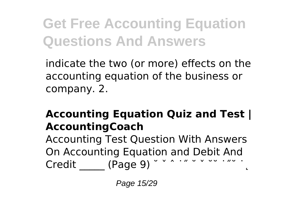indicate the two (or more) effects on the accounting equation of the business or company. 2.

#### **Accounting Equation Quiz and Test | AccountingCoach**

Accounting Test Question With Answers On Accounting Equation and Debit And Credit (Page 9)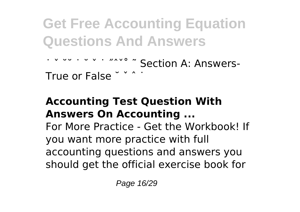```
˙ ˇ ˘˘ ˙ ˘ ˇ ˙ ˝ˆˇ˚ ˜ Section A: Answers-
True or False \check{ } \check{ }
```
#### **Accounting Test Question With Answers On Accounting ...**

For More Practice - Get the Workbook! If you want more practice with full accounting questions and answers you should get the official exercise book for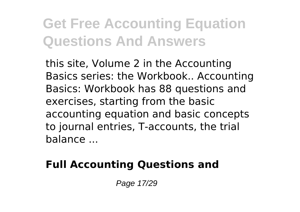this site, Volume 2 in the Accounting Basics series: the Workbook.. Accounting Basics: Workbook has 88 questions and exercises, starting from the basic accounting equation and basic concepts to journal entries, T-accounts, the trial balance ...

### **Full Accounting Questions and**

Page 17/29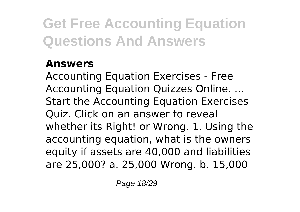#### **Answers**

Accounting Equation Exercises - Free Accounting Equation Quizzes Online. ... Start the Accounting Equation Exercises Quiz. Click on an answer to reveal whether its Right! or Wrong. 1. Using the accounting equation, what is the owners equity if assets are 40,000 and liabilities are 25,000? a. 25,000 Wrong. b. 15,000

Page 18/29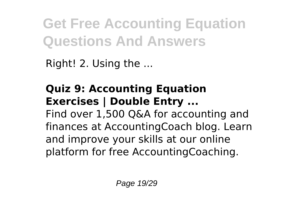Right! 2. Using the ...

### **Quiz 9: Accounting Equation Exercises | Double Entry ...** Find over 1,500 Q&A for accounting and

finances at AccountingCoach blog. Learn and improve your skills at our online platform for free AccountingCoaching.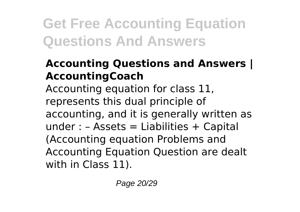#### **Accounting Questions and Answers | AccountingCoach**

Accounting equation for class 11, represents this dual principle of accounting, and it is generally written as under :  $-$  Assets = Liabilities  $+$  Capital (Accounting equation Problems and Accounting Equation Question are dealt with in Class 11).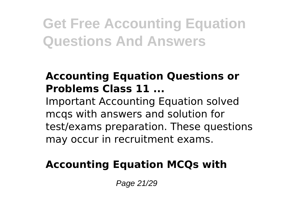#### **Accounting Equation Questions or Problems Class 11 ...**

Important Accounting Equation solved mcqs with answers and solution for test/exams preparation. These questions may occur in recruitment exams.

#### **Accounting Equation MCQs with**

Page 21/29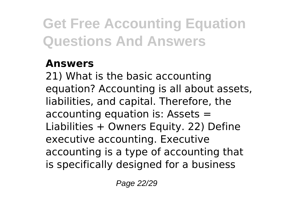#### **Answers**

21) What is the basic accounting equation? Accounting is all about assets, liabilities, and capital. Therefore, the accounting equation is: Assets = Liabilities + Owners Equity. 22) Define executive accounting. Executive accounting is a type of accounting that is specifically designed for a business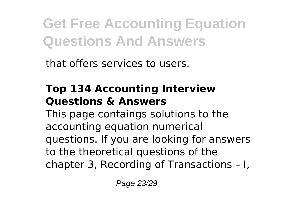that offers services to users.

#### **Top 134 Accounting Interview Questions & Answers**

This page contaings solutions to the accounting equation numerical questions. If you are looking for answers to the theoretical questions of the chapter 3, Recording of Transactions – I,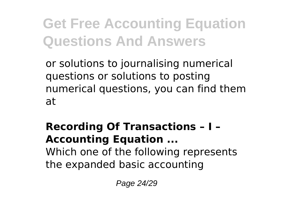or solutions to journalising numerical questions or solutions to posting numerical questions, you can find them at

### **Recording Of Transactions – I – Accounting Equation ...**

Which one of the following represents the expanded basic accounting

Page 24/29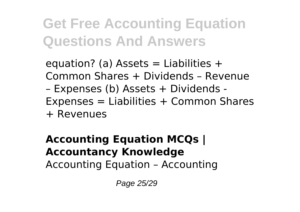equation? (a) Assets  $=$  Liabilities  $+$ Common Shares + Dividends – Revenue – Expenses (b) Assets + Dividends - Expenses = Liabilities + Common Shares + Revenues

#### **Accounting Equation MCQs | Accountancy Knowledge**

Accounting Equation – Accounting

Page 25/29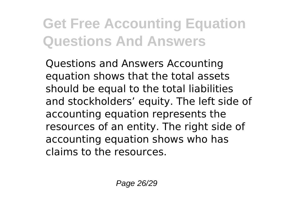Questions and Answers Accounting equation shows that the total assets should be equal to the total liabilities and stockholders' equity. The left side of accounting equation represents the resources of an entity. The right side of accounting equation shows who has claims to the resources.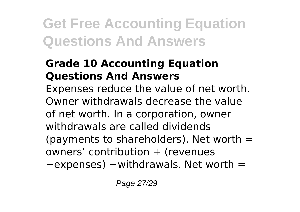#### **Grade 10 Accounting Equation Questions And Answers**

Expenses reduce the value of net worth. Owner withdrawals decrease the value of net worth. In a corporation, owner withdrawals are called dividends (payments to shareholders). Net worth  $=$ owners' contribution + (revenues

−expenses) −withdrawals. Net worth =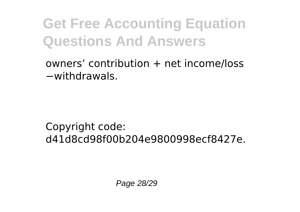owners' contribution  $+$  net income/loss −withdrawals.

Copyright code: d41d8cd98f00b204e9800998ecf8427e.

Page 28/29